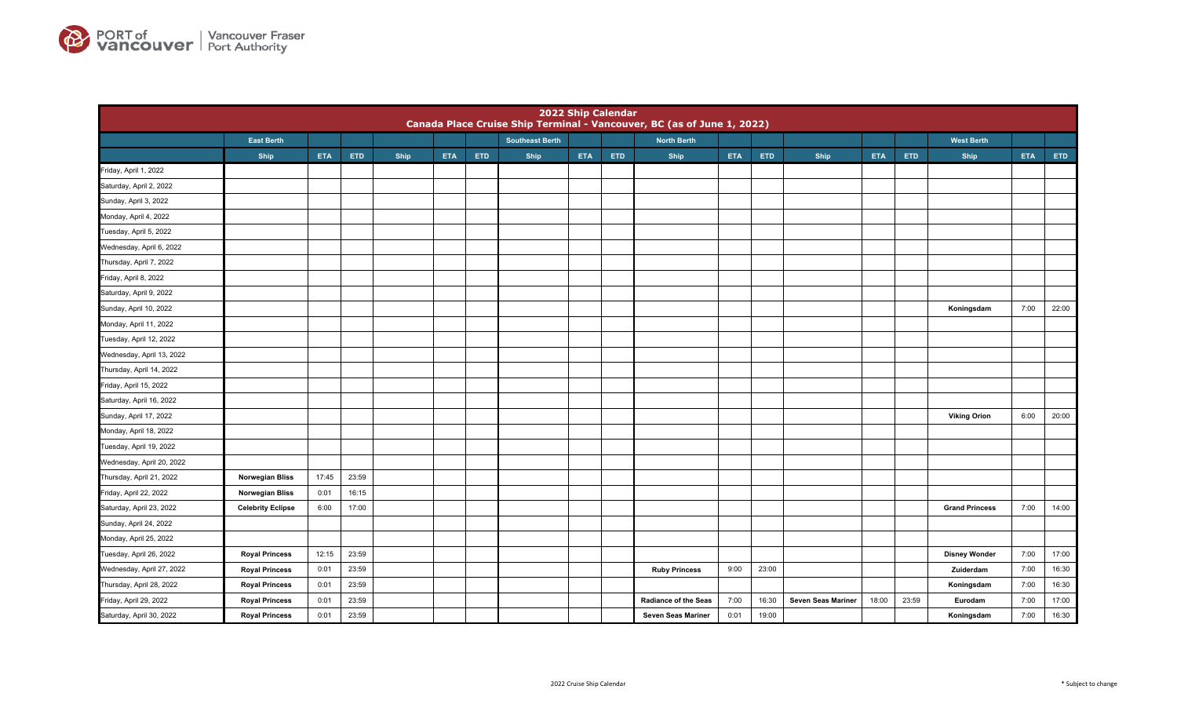

|                           |                          |            |            |             |            |            |                        |            | 2022 Ship Calendar | Canada Place Cruise Ship Terminal - Vancouver, BC (as of June 1, 2022) |            |       |                    |            |       |                       |            |       |
|---------------------------|--------------------------|------------|------------|-------------|------------|------------|------------------------|------------|--------------------|------------------------------------------------------------------------|------------|-------|--------------------|------------|-------|-----------------------|------------|-------|
|                           | <b>East Berth</b>        |            |            |             |            |            | <b>Southeast Berth</b> |            |                    | <b>North Berth</b>                                                     |            |       |                    |            |       | <b>West Berth</b>     |            |       |
|                           | Ship                     | <b>ETA</b> | <b>ETD</b> | <b>Ship</b> | <b>ETA</b> | <b>ETD</b> | Ship                   | <b>ETA</b> | <b>ETD</b>         | Ship                                                                   | <b>ETA</b> | ETD   | <b>Ship</b>        | <b>ETA</b> | ETD   | Ship                  | <b>ETA</b> | ETD   |
| Friday, April 1, 2022     |                          |            |            |             |            |            |                        |            |                    |                                                                        |            |       |                    |            |       |                       |            |       |
| Saturday, April 2, 2022   |                          |            |            |             |            |            |                        |            |                    |                                                                        |            |       |                    |            |       |                       |            |       |
| Sunday, April 3, 2022     |                          |            |            |             |            |            |                        |            |                    |                                                                        |            |       |                    |            |       |                       |            |       |
| Monday, April 4, 2022     |                          |            |            |             |            |            |                        |            |                    |                                                                        |            |       |                    |            |       |                       |            |       |
| Tuesday, April 5, 2022    |                          |            |            |             |            |            |                        |            |                    |                                                                        |            |       |                    |            |       |                       |            |       |
| Wednesday, April 6, 2022  |                          |            |            |             |            |            |                        |            |                    |                                                                        |            |       |                    |            |       |                       |            |       |
| Thursday, April 7, 2022   |                          |            |            |             |            |            |                        |            |                    |                                                                        |            |       |                    |            |       |                       |            |       |
| Friday, April 8, 2022     |                          |            |            |             |            |            |                        |            |                    |                                                                        |            |       |                    |            |       |                       |            |       |
| Saturday, April 9, 2022   |                          |            |            |             |            |            |                        |            |                    |                                                                        |            |       |                    |            |       |                       |            |       |
| Sunday, April 10, 2022    |                          |            |            |             |            |            |                        |            |                    |                                                                        |            |       |                    |            |       | Koningsdam            | 7:00       | 22:00 |
| Monday, April 11, 2022    |                          |            |            |             |            |            |                        |            |                    |                                                                        |            |       |                    |            |       |                       |            |       |
| Tuesday, April 12, 2022   |                          |            |            |             |            |            |                        |            |                    |                                                                        |            |       |                    |            |       |                       |            |       |
| Wednesday, April 13, 2022 |                          |            |            |             |            |            |                        |            |                    |                                                                        |            |       |                    |            |       |                       |            |       |
| Thursday, April 14, 2022  |                          |            |            |             |            |            |                        |            |                    |                                                                        |            |       |                    |            |       |                       |            |       |
| Friday, April 15, 2022    |                          |            |            |             |            |            |                        |            |                    |                                                                        |            |       |                    |            |       |                       |            |       |
| Saturday, April 16, 2022  |                          |            |            |             |            |            |                        |            |                    |                                                                        |            |       |                    |            |       |                       |            |       |
| Sunday, April 17, 2022    |                          |            |            |             |            |            |                        |            |                    |                                                                        |            |       |                    |            |       | <b>Viking Orion</b>   | 6:00       | 20:00 |
| Monday, April 18, 2022    |                          |            |            |             |            |            |                        |            |                    |                                                                        |            |       |                    |            |       |                       |            |       |
| Tuesday, April 19, 2022   |                          |            |            |             |            |            |                        |            |                    |                                                                        |            |       |                    |            |       |                       |            |       |
| Wednesday, April 20, 2022 |                          |            |            |             |            |            |                        |            |                    |                                                                        |            |       |                    |            |       |                       |            |       |
| Thursday, April 21, 2022  | <b>Norwegian Bliss</b>   | 17:45      | 23:59      |             |            |            |                        |            |                    |                                                                        |            |       |                    |            |       |                       |            |       |
| Friday, April 22, 2022    | <b>Norwegian Bliss</b>   | 0:01       | 16:15      |             |            |            |                        |            |                    |                                                                        |            |       |                    |            |       |                       |            |       |
| Saturday, April 23, 2022  | <b>Celebrity Eclipse</b> | 6:00       | 17:00      |             |            |            |                        |            |                    |                                                                        |            |       |                    |            |       | <b>Grand Princess</b> | 7:00       | 14:00 |
| Sunday, April 24, 2022    |                          |            |            |             |            |            |                        |            |                    |                                                                        |            |       |                    |            |       |                       |            |       |
| Monday, April 25, 2022    |                          |            |            |             |            |            |                        |            |                    |                                                                        |            |       |                    |            |       |                       |            |       |
| Tuesday, April 26, 2022   | <b>Royal Princess</b>    | 12:15      | 23:59      |             |            |            |                        |            |                    |                                                                        |            |       |                    |            |       | <b>Disney Wonder</b>  | 7:00       | 17:00 |
| Wednesday, April 27, 2022 | <b>Royal Princess</b>    | 0:01       | 23:59      |             |            |            |                        |            |                    | <b>Ruby Princess</b>                                                   | 9:00       | 23:00 |                    |            |       | Zuiderdam             | 7:00       | 16:30 |
| Thursday, April 28, 2022  | <b>Royal Princess</b>    | 0:01       | 23:59      |             |            |            |                        |            |                    |                                                                        |            |       |                    |            |       | Koningsdam            | 7:00       | 16:30 |
| Friday, April 29, 2022    | <b>Royal Princess</b>    | 0:01       | 23:59      |             |            |            |                        |            |                    | <b>Radiance of the Seas</b>                                            | 7:00       | 16:30 | Seven Seas Mariner | 18:00      | 23:59 | Eurodam               | 7:00       | 17:00 |
| Saturday, April 30, 2022  | <b>Royal Princess</b>    | 0:01       | 23:59      |             |            |            |                        |            |                    | Seven Seas Mariner                                                     | 0:01       | 19:00 |                    |            |       | Koningsdam            | 7:00       | 16:30 |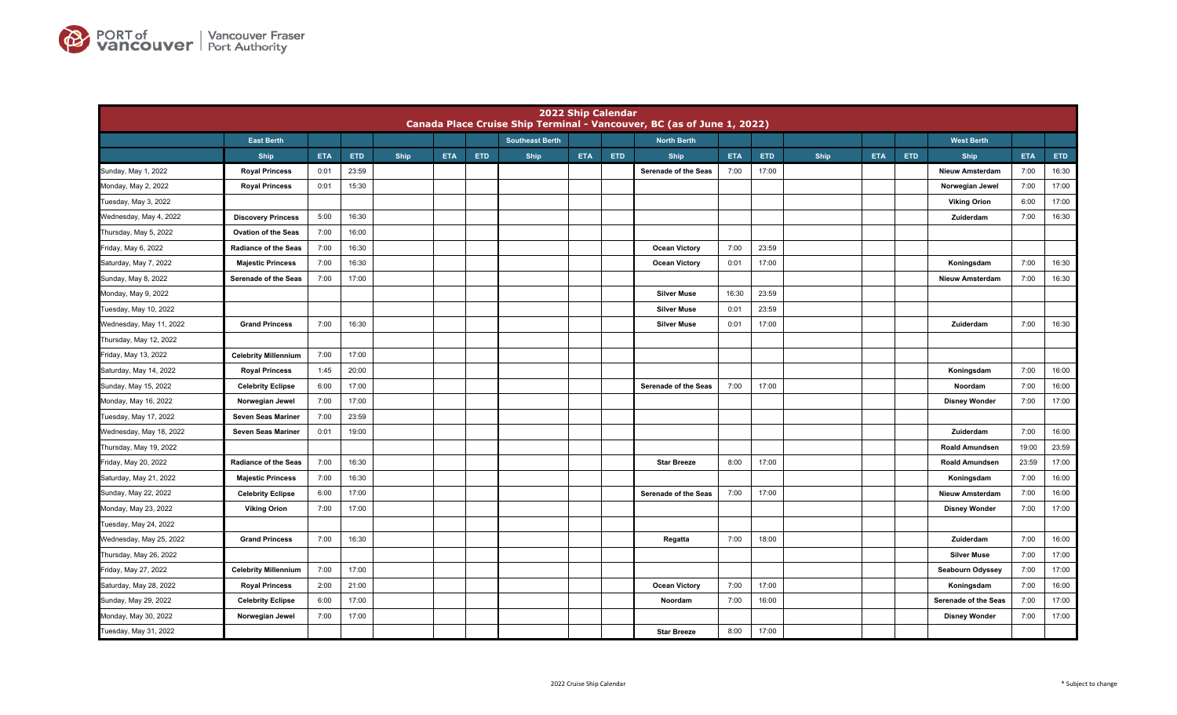

|                         |                             |            |       |             |            |     |                        |            | <b>2022 Ship Calendar</b> | Canada Place Cruise Ship Terminal - Vancouver, BC (as of June 1, 2022) |            |       |             |            |            |                        |            |       |
|-------------------------|-----------------------------|------------|-------|-------------|------------|-----|------------------------|------------|---------------------------|------------------------------------------------------------------------|------------|-------|-------------|------------|------------|------------------------|------------|-------|
|                         | <b>East Berth</b>           |            |       |             |            |     | <b>Southeast Berth</b> |            |                           | <b>North Berth</b>                                                     |            |       |             |            |            | <b>West Berth</b>      |            |       |
|                         | <b>Ship</b>                 | <b>ETA</b> | ETD   | <b>Ship</b> | <b>ETA</b> | ETD | Ship                   | <b>ETA</b> | <b>ETD</b>                | <b>Ship</b>                                                            | <b>ETA</b> | ETD   | <b>Ship</b> | <b>ETA</b> | <b>ETD</b> | <b>Ship</b>            | <b>ETA</b> | ETD   |
| Sunday, May 1, 2022     | <b>Royal Princess</b>       | 0:01       | 23:59 |             |            |     |                        |            |                           | Serenade of the Seas                                                   | 7:00       | 17:00 |             |            |            | <b>Nieuw Amsterdam</b> | 7:00       | 16:30 |
| Monday, May 2, 2022     | <b>Royal Princess</b>       | 0:01       | 15:30 |             |            |     |                        |            |                           |                                                                        |            |       |             |            |            | Norwegian Jewel        | 7:00       | 17:00 |
| Tuesday, May 3, 2022    |                             |            |       |             |            |     |                        |            |                           |                                                                        |            |       |             |            |            | <b>Viking Orion</b>    | 6:00       | 17:00 |
| Wednesday, May 4, 2022  | <b>Discovery Princess</b>   | 5:00       | 16:30 |             |            |     |                        |            |                           |                                                                        |            |       |             |            |            | Zuiderdam              | 7:00       | 16:30 |
| Thursday, May 5, 2022   | <b>Ovation of the Seas</b>  | 7:00       | 16:00 |             |            |     |                        |            |                           |                                                                        |            |       |             |            |            |                        |            |       |
| Friday, May 6, 2022     | <b>Radiance of the Seas</b> | 7:00       | 16:30 |             |            |     |                        |            |                           | <b>Ocean Victory</b>                                                   | 7:00       | 23:59 |             |            |            |                        |            |       |
| Saturday, May 7, 2022   | <b>Majestic Princess</b>    | 7:00       | 16:30 |             |            |     |                        |            |                           | <b>Ocean Victory</b>                                                   | 0:01       | 17:00 |             |            |            | Koningsdam             | 7:00       | 16:30 |
| Sunday, May 8, 2022     | Serenade of the Seas        | 7:00       | 17:00 |             |            |     |                        |            |                           |                                                                        |            |       |             |            |            | <b>Nieuw Amsterdam</b> | 7:00       | 16:30 |
| Monday, May 9, 2022     |                             |            |       |             |            |     |                        |            |                           | <b>Silver Muse</b>                                                     | 16:30      | 23:59 |             |            |            |                        |            |       |
| Tuesday, May 10, 2022   |                             |            |       |             |            |     |                        |            |                           | <b>Silver Muse</b>                                                     | 0:01       | 23:59 |             |            |            |                        |            |       |
| Wednesday, May 11, 2022 | <b>Grand Princess</b>       | 7:00       | 16:30 |             |            |     |                        |            |                           | <b>Silver Muse</b>                                                     | 0:01       | 17:00 |             |            |            | Zuiderdam              | 7:00       | 16:30 |
| Thursday, May 12, 2022  |                             |            |       |             |            |     |                        |            |                           |                                                                        |            |       |             |            |            |                        |            |       |
| Friday, May 13, 2022    | <b>Celebrity Millennium</b> | 7:00       | 17:00 |             |            |     |                        |            |                           |                                                                        |            |       |             |            |            |                        |            |       |
| Saturday, May 14, 2022  | <b>Royal Princess</b>       | 1:45       | 20:00 |             |            |     |                        |            |                           |                                                                        |            |       |             |            |            | Koningsdam             | 7:00       | 16:00 |
| Sunday, May 15, 2022    | <b>Celebrity Eclipse</b>    | 6:00       | 17:00 |             |            |     |                        |            |                           | Serenade of the Seas                                                   | 7:00       | 17:00 |             |            |            | Noordam                | 7:00       | 16:00 |
| Monday, May 16, 2022    | Norwegian Jewel             | 7:00       | 17:00 |             |            |     |                        |            |                           |                                                                        |            |       |             |            |            | <b>Disney Wonder</b>   | 7:00       | 17:00 |
| Tuesday, May 17, 2022   | Seven Seas Mariner          | 7:00       | 23:59 |             |            |     |                        |            |                           |                                                                        |            |       |             |            |            |                        |            |       |
| Wednesday, May 18, 2022 | Seven Seas Mariner          | 0:01       | 19:00 |             |            |     |                        |            |                           |                                                                        |            |       |             |            |            | Zuiderdam              | 7:00       | 16:00 |
| Thursday, May 19, 2022  |                             |            |       |             |            |     |                        |            |                           |                                                                        |            |       |             |            |            | <b>Roald Amundsen</b>  | 19:00      | 23:59 |
| Friday, May 20, 2022    | <b>Radiance of the Seas</b> | 7:00       | 16:30 |             |            |     |                        |            |                           | <b>Star Breeze</b>                                                     | 8:00       | 17:00 |             |            |            | <b>Roald Amundsen</b>  | 23:59      | 17:00 |
| Saturday, May 21, 2022  | <b>Majestic Princess</b>    | 7:00       | 16:30 |             |            |     |                        |            |                           |                                                                        |            |       |             |            |            | Koningsdam             | 7:00       | 16:00 |
| Sunday, May 22, 2022    | <b>Celebrity Eclipse</b>    | 6:00       | 17:00 |             |            |     |                        |            |                           | Serenade of the Seas                                                   | 7:00       | 17:00 |             |            |            | <b>Nieuw Amsterdam</b> | 7:00       | 16:00 |
| Monday, May 23, 2022    | <b>Viking Orion</b>         | 7:00       | 17:00 |             |            |     |                        |            |                           |                                                                        |            |       |             |            |            | <b>Disney Wonder</b>   | 7:00       | 17:00 |
| Tuesday, May 24, 2022   |                             |            |       |             |            |     |                        |            |                           |                                                                        |            |       |             |            |            |                        |            |       |
| Wednesday, May 25, 2022 | <b>Grand Princess</b>       | 7:00       | 16:30 |             |            |     |                        |            |                           | Regatta                                                                | 7:00       | 18:00 |             |            |            | Zuiderdam              | 7:00       | 16:00 |
| Thursday, May 26, 2022  |                             |            |       |             |            |     |                        |            |                           |                                                                        |            |       |             |            |            | <b>Silver Muse</b>     | 7:00       | 17:00 |
| Friday, May 27, 2022    | <b>Celebrity Millennium</b> | 7:00       | 17:00 |             |            |     |                        |            |                           |                                                                        |            |       |             |            |            | Seabourn Odyssey       | 7:00       | 17:00 |
| Saturday, May 28, 2022  | <b>Royal Princess</b>       | 2:00       | 21:00 |             |            |     |                        |            |                           | <b>Ocean Victory</b>                                                   | 7:00       | 17:00 |             |            |            | Koningsdam             | 7:00       | 16:00 |
| Sunday, May 29, 2022    | <b>Celebrity Eclipse</b>    | 6:00       | 17:00 |             |            |     |                        |            |                           | Noordam                                                                | 7:00       | 16:00 |             |            |            | Serenade of the Seas   | 7:00       | 17:00 |
| Monday, May 30, 2022    | Norwegian Jewel             | 7:00       | 17:00 |             |            |     |                        |            |                           |                                                                        |            |       |             |            |            | <b>Disney Wonder</b>   | 7:00       | 17:00 |
| Tuesday, May 31, 2022   |                             |            |       |             |            |     |                        |            |                           | <b>Star Breeze</b>                                                     | 8:00       | 17:00 |             |            |            |                        |            |       |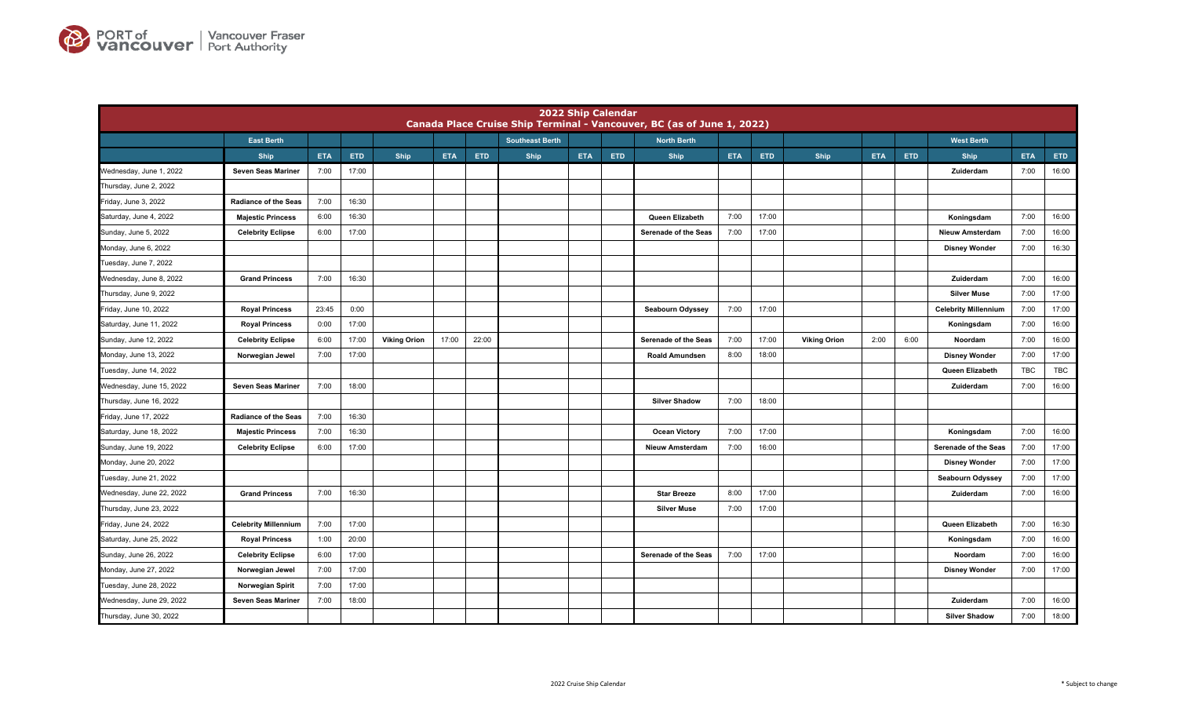

|                          |                             |            |       |                     |            |            |                        | 2022 Ship Calendar |     | Canada Place Cruise Ship Terminal - Vancouver, BC (as of June 1, 2022) |            |       |                     |            |            |                             |            |       |
|--------------------------|-----------------------------|------------|-------|---------------------|------------|------------|------------------------|--------------------|-----|------------------------------------------------------------------------|------------|-------|---------------------|------------|------------|-----------------------------|------------|-------|
|                          | <b>East Berth</b>           |            |       |                     |            |            | <b>Southeast Berth</b> |                    |     | <b>North Berth</b>                                                     |            |       |                     |            |            | <b>West Berth</b>           |            |       |
|                          | <b>Ship</b>                 | <b>ETA</b> | ETD   | Ship                | <b>ETA</b> | <b>ETD</b> | Ship                   | <b>ETA</b>         | ETD | <b>Ship</b>                                                            | <b>ETA</b> | ETD   | Ship                | <b>ETA</b> | <b>ETD</b> | Ship                        | <b>ETA</b> | ETD   |
| Wednesday, June 1, 2022  | Seven Seas Mariner          | 7:00       | 17:00 |                     |            |            |                        |                    |     |                                                                        |            |       |                     |            |            | Zuiderdam                   | 7:00       | 16:00 |
| Thursday, June 2, 2022   |                             |            |       |                     |            |            |                        |                    |     |                                                                        |            |       |                     |            |            |                             |            |       |
| Friday, June 3, 2022     | <b>Radiance of the Seas</b> | 7:00       | 16:30 |                     |            |            |                        |                    |     |                                                                        |            |       |                     |            |            |                             |            |       |
| Saturday, June 4, 2022   | <b>Majestic Princess</b>    | 6:00       | 16:30 |                     |            |            |                        |                    |     | Queen Elizabeth                                                        | 7:00       | 17:00 |                     |            |            | Koningsdam                  | 7:00       | 16:00 |
| Sunday, June 5, 2022     | <b>Celebrity Eclipse</b>    | 6:00       | 17:00 |                     |            |            |                        |                    |     | Serenade of the Seas                                                   | 7:00       | 17:00 |                     |            |            | <b>Nieuw Amsterdam</b>      | 7:00       | 16:00 |
| Monday, June 6, 2022     |                             |            |       |                     |            |            |                        |                    |     |                                                                        |            |       |                     |            |            | <b>Disney Wonder</b>        | 7:00       | 16:30 |
| Tuesday, June 7, 2022    |                             |            |       |                     |            |            |                        |                    |     |                                                                        |            |       |                     |            |            |                             |            |       |
| Wednesday, June 8, 2022  | <b>Grand Princess</b>       | 7:00       | 16:30 |                     |            |            |                        |                    |     |                                                                        |            |       |                     |            |            | Zuiderdam                   | 7:00       | 16:00 |
| Thursday, June 9, 2022   |                             |            |       |                     |            |            |                        |                    |     |                                                                        |            |       |                     |            |            | <b>Silver Muse</b>          | 7:00       | 17:00 |
| Friday, June 10, 2022    | <b>Royal Princess</b>       | 23:45      | 0:00  |                     |            |            |                        |                    |     | <b>Seabourn Odyssey</b>                                                | 7:00       | 17:00 |                     |            |            | <b>Celebrity Millennium</b> | 7:00       | 17:00 |
| Saturday, June 11, 2022  | <b>Royal Princess</b>       | 0:00       | 17:00 |                     |            |            |                        |                    |     |                                                                        |            |       |                     |            |            | Koningsdam                  | 7:00       | 16:00 |
| Sunday, June 12, 2022    | <b>Celebrity Eclipse</b>    | 6:00       | 17:00 | <b>Viking Orion</b> | 17:00      | 22:00      |                        |                    |     | Serenade of the Seas                                                   | 7:00       | 17:00 | <b>Viking Orion</b> | 2:00       | 6:00       | Noordam                     | 7:00       | 16:00 |
| Monday, June 13, 2022    | Norwegian Jewel             | 7:00       | 17:00 |                     |            |            |                        |                    |     | <b>Roald Amundsen</b>                                                  | 8:00       | 18:00 |                     |            |            | <b>Disney Wonder</b>        | 7:00       | 17:00 |
| Tuesday, June 14, 2022   |                             |            |       |                     |            |            |                        |                    |     |                                                                        |            |       |                     |            |            | Queen Elizabeth             | TBC        | TBC   |
| Wednesday, June 15, 2022 | Seven Seas Mariner          | 7:00       | 18:00 |                     |            |            |                        |                    |     |                                                                        |            |       |                     |            |            | Zuiderdam                   | 7:00       | 16:00 |
| Thursday, June 16, 2022  |                             |            |       |                     |            |            |                        |                    |     | <b>Silver Shadow</b>                                                   | 7:00       | 18:00 |                     |            |            |                             |            |       |
| Friday, June 17, 2022    | <b>Radiance of the Seas</b> | 7:00       | 16:30 |                     |            |            |                        |                    |     |                                                                        |            |       |                     |            |            |                             |            |       |
| Saturday, June 18, 2022  | <b>Majestic Princess</b>    | 7:00       | 16:30 |                     |            |            |                        |                    |     | <b>Ocean Victory</b>                                                   | 7:00       | 17:00 |                     |            |            | Koningsdam                  | 7:00       | 16:00 |
| Sunday, June 19, 2022    | <b>Celebrity Eclipse</b>    | 6:00       | 17:00 |                     |            |            |                        |                    |     | <b>Nieuw Amsterdam</b>                                                 | 7:00       | 16:00 |                     |            |            | Serenade of the Seas        | 7:00       | 17:00 |
| Monday, June 20, 2022    |                             |            |       |                     |            |            |                        |                    |     |                                                                        |            |       |                     |            |            | <b>Disney Wonder</b>        | 7:00       | 17:00 |
| Tuesday, June 21, 2022   |                             |            |       |                     |            |            |                        |                    |     |                                                                        |            |       |                     |            |            | Seabourn Odyssey            | 7:00       | 17:00 |
| Wednesday, June 22, 2022 | <b>Grand Princess</b>       | 7:00       | 16:30 |                     |            |            |                        |                    |     | <b>Star Breeze</b>                                                     | 8:00       | 17:00 |                     |            |            | Zuiderdam                   | 7:00       | 16:00 |
| Thursday, June 23, 2022  |                             |            |       |                     |            |            |                        |                    |     | <b>Silver Muse</b>                                                     | 7:00       | 17:00 |                     |            |            |                             |            |       |
| Friday, June 24, 2022    | <b>Celebrity Millennium</b> | 7:00       | 17:00 |                     |            |            |                        |                    |     |                                                                        |            |       |                     |            |            | Queen Elizabeth             | 7:00       | 16:30 |
| Saturday, June 25, 2022  | <b>Royal Princess</b>       | 1:00       | 20:00 |                     |            |            |                        |                    |     |                                                                        |            |       |                     |            |            | Koningsdam                  | 7:00       | 16:00 |
| Sunday, June 26, 2022    | <b>Celebrity Eclipse</b>    | 6:00       | 17:00 |                     |            |            |                        |                    |     | Serenade of the Seas                                                   | 7:00       | 17:00 |                     |            |            | Noordam                     | 7:00       | 16:00 |
| Monday, June 27, 2022    | Norwegian Jewel             | 7:00       | 17:00 |                     |            |            |                        |                    |     |                                                                        |            |       |                     |            |            | <b>Disney Wonder</b>        | 7:00       | 17:00 |
| Tuesday, June 28, 2022   | Norwegian Spirit            | 7:00       | 17:00 |                     |            |            |                        |                    |     |                                                                        |            |       |                     |            |            |                             |            |       |
| Wednesday, June 29, 2022 | Seven Seas Mariner          | 7:00       | 18:00 |                     |            |            |                        |                    |     |                                                                        |            |       |                     |            |            | Zuiderdam                   | 7:00       | 16:00 |
| Thursday, June 30, 2022  |                             |            |       |                     |            |            |                        |                    |     |                                                                        |            |       |                     |            |            | <b>Silver Shadow</b>        | 7:00       | 18:00 |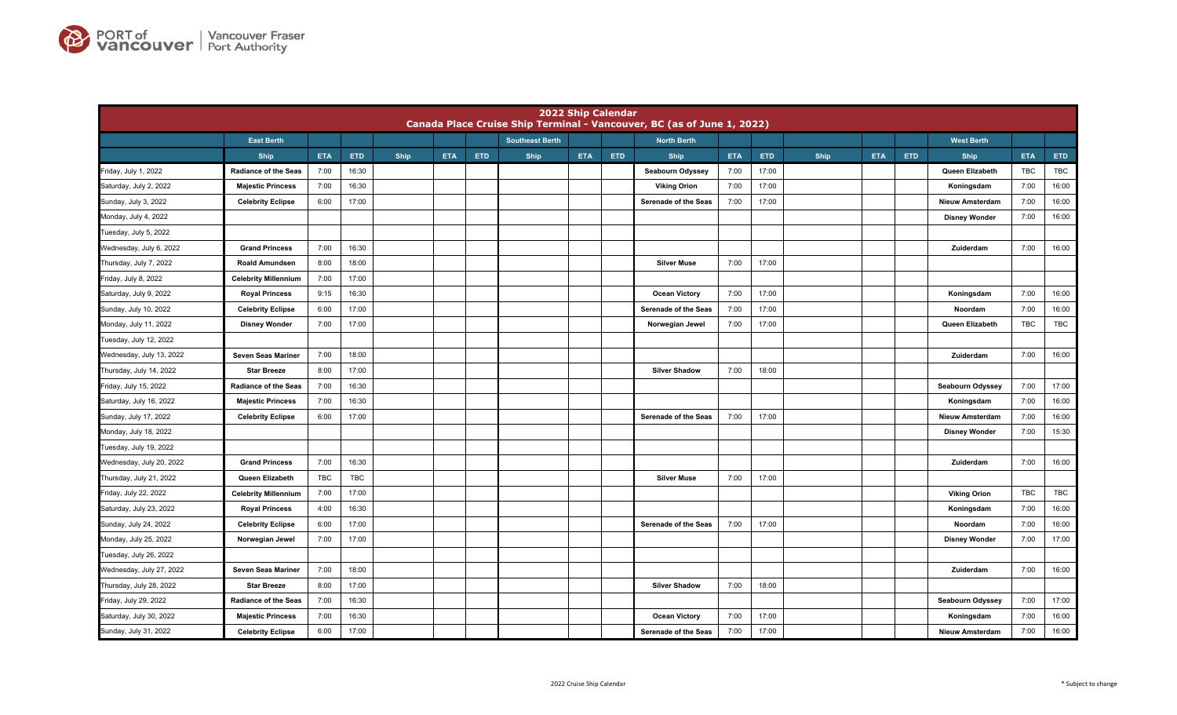

|                          |                             |            |       |      |            |            |                        | <b>2022 Ship Calendar</b> |            | Canada Place Cruise Ship Terminal - Vancouver, BC (as of June 1, 2022) |            |       |      |            |            |                        |            |            |
|--------------------------|-----------------------------|------------|-------|------|------------|------------|------------------------|---------------------------|------------|------------------------------------------------------------------------|------------|-------|------|------------|------------|------------------------|------------|------------|
|                          | <b>East Berth</b>           |            |       |      |            |            | <b>Southeast Berth</b> |                           |            | <b>North Berth</b>                                                     |            |       |      |            |            | <b>West Berth</b>      |            |            |
|                          | <b>Ship</b>                 | <b>ETA</b> | ETD   | Ship | <b>ETA</b> | <b>ETD</b> | Ship                   | <b>ETA</b>                | <b>ETD</b> | <b>Ship</b>                                                            | <b>ETA</b> | ETD   | Ship | <b>ETA</b> | <b>ETD</b> | Ship                   | <b>ETA</b> | ETD        |
| Friday, July 1, 2022     | <b>Radiance of the Seas</b> | 7:00       | 16:30 |      |            |            |                        |                           |            | Seabourn Odyssey                                                       | 7:00       | 17:00 |      |            |            | Queen Elizabeth        | TBC        | TBC        |
| Saturday, July 2, 2022   | <b>Majestic Princess</b>    | 7:00       | 16:30 |      |            |            |                        |                           |            | <b>Viking Orion</b>                                                    | 7:00       | 17:00 |      |            |            | Koningsdam             | 7:00       | 16:00      |
| Sunday, July 3, 2022     | <b>Celebrity Eclipse</b>    | 6:00       | 17:00 |      |            |            |                        |                           |            | Serenade of the Seas                                                   | 7:00       | 17:00 |      |            |            | <b>Nieuw Amsterdam</b> | 7:00       | 16:00      |
| Monday, July 4, 2022     |                             |            |       |      |            |            |                        |                           |            |                                                                        |            |       |      |            |            | <b>Disney Wonder</b>   | 7:00       | 16:00      |
| Tuesday, July 5, 2022    |                             |            |       |      |            |            |                        |                           |            |                                                                        |            |       |      |            |            |                        |            |            |
| Wednesday, July 6, 2022  | <b>Grand Princess</b>       | 7:00       | 16:30 |      |            |            |                        |                           |            |                                                                        |            |       |      |            |            | Zuiderdam              | 7:00       | 16:00      |
| Thursday, July 7, 2022   | <b>Roald Amundsen</b>       | 8:00       | 18:00 |      |            |            |                        |                           |            | <b>Silver Muse</b>                                                     | 7:00       | 17:00 |      |            |            |                        |            |            |
| Friday, July 8, 2022     | <b>Celebrity Millennium</b> | 7:00       | 17:00 |      |            |            |                        |                           |            |                                                                        |            |       |      |            |            |                        |            |            |
| Saturday, July 9, 2022   | <b>Royal Princess</b>       | 9:15       | 16:30 |      |            |            |                        |                           |            | <b>Ocean Victory</b>                                                   | 7:00       | 17:00 |      |            |            | Koningsdam             | 7:00       | 16:00      |
| Sunday, July 10, 2022    | <b>Celebrity Eclipse</b>    | 6:00       | 17:00 |      |            |            |                        |                           |            | Serenade of the Seas                                                   | 7:00       | 17:00 |      |            |            | Noordam                | 7:00       | 16:00      |
| Monday, July 11, 2022    | <b>Disney Wonder</b>        | 7:00       | 17:00 |      |            |            |                        |                           |            | Norwegian Jewel                                                        | 7:00       | 17:00 |      |            |            | Queen Elizabeth        | <b>TBC</b> | TBC        |
| Tuesday, July 12, 2022   |                             |            |       |      |            |            |                        |                           |            |                                                                        |            |       |      |            |            |                        |            |            |
| Wednesday, July 13, 2022 | Seven Seas Mariner          | 7:00       | 18:00 |      |            |            |                        |                           |            |                                                                        |            |       |      |            |            | Zuiderdam              | 7:00       | 16:00      |
| Thursday, July 14, 2022  | <b>Star Breeze</b>          | 8:00       | 17:00 |      |            |            |                        |                           |            | <b>Silver Shadow</b>                                                   | 7:00       | 18:00 |      |            |            |                        |            |            |
| Friday, July 15, 2022    | <b>Radiance of the Seas</b> | 7:00       | 16:30 |      |            |            |                        |                           |            |                                                                        |            |       |      |            |            | Seabourn Odyssey       | 7:00       | 17:00      |
| Saturday, July 16, 2022  | <b>Majestic Princess</b>    | 7:00       | 16:30 |      |            |            |                        |                           |            |                                                                        |            |       |      |            |            | Koningsdam             | 7:00       | 16:00      |
| Sunday, July 17, 2022    | <b>Celebrity Eclipse</b>    | 6:00       | 17:00 |      |            |            |                        |                           |            | Serenade of the Seas                                                   | 7:00       | 17:00 |      |            |            | <b>Nieuw Amsterdam</b> | 7:00       | 16:00      |
| Monday, July 18, 2022    |                             |            |       |      |            |            |                        |                           |            |                                                                        |            |       |      |            |            | <b>Disney Wonder</b>   | 7:00       | 15:30      |
| Tuesday, July 19, 2022   |                             |            |       |      |            |            |                        |                           |            |                                                                        |            |       |      |            |            |                        |            |            |
| Wednesday, July 20, 2022 | <b>Grand Princess</b>       | 7:00       | 16:30 |      |            |            |                        |                           |            |                                                                        |            |       |      |            |            | Zuiderdam              | 7:00       | 16:00      |
| Thursday, July 21, 2022  | Queen Elizabeth             | <b>TBC</b> | TBC   |      |            |            |                        |                           |            | <b>Silver Muse</b>                                                     | 7:00       | 17:00 |      |            |            |                        |            |            |
| Friday, July 22, 2022    | <b>Celebrity Millennium</b> | 7:00       | 17:00 |      |            |            |                        |                           |            |                                                                        |            |       |      |            |            | <b>Viking Orion</b>    | TBC        | <b>TBC</b> |
| Saturday, July 23, 2022  | <b>Royal Princess</b>       | 4:00       | 16:30 |      |            |            |                        |                           |            |                                                                        |            |       |      |            |            | Koningsdam             | 7:00       | 16:00      |
| Sunday, July 24, 2022    | <b>Celebrity Eclipse</b>    | 6:00       | 17:00 |      |            |            |                        |                           |            | Serenade of the Seas                                                   | 7:00       | 17:00 |      |            |            | Noordam                | 7:00       | 16:00      |
| Monday, July 25, 2022    | Norwegian Jewel             | 7:00       | 17:00 |      |            |            |                        |                           |            |                                                                        |            |       |      |            |            | <b>Disney Wonder</b>   | 7:00       | 17:00      |
| Tuesday, July 26, 2022   |                             |            |       |      |            |            |                        |                           |            |                                                                        |            |       |      |            |            |                        |            |            |
| Wednesday, July 27, 2022 | Seven Seas Mariner          | 7:00       | 18:00 |      |            |            |                        |                           |            |                                                                        |            |       |      |            |            | Zuiderdam              | 7:00       | 16:00      |
| Thursday, July 28, 2022  | <b>Star Breeze</b>          | 8:00       | 17:00 |      |            |            |                        |                           |            | <b>Silver Shadow</b>                                                   | 7:00       | 18:00 |      |            |            |                        |            |            |
| Friday, July 29, 2022    | <b>Radiance of the Seas</b> | 7:00       | 16:30 |      |            |            |                        |                           |            |                                                                        |            |       |      |            |            | Seabourn Odyssey       | 7:00       | 17:00      |
| Saturday, July 30, 2022  | <b>Majestic Princess</b>    | 7:00       | 16:30 |      |            |            |                        |                           |            | <b>Ocean Victory</b>                                                   | 7:00       | 17:00 |      |            |            | Koningsdam             | 7:00       | 16:00      |
| Sunday, July 31, 2022    | <b>Celebrity Eclipse</b>    | 6:00       | 17:00 |      |            |            |                        |                           |            | Serenade of the Seas                                                   | 7:00       | 17:00 |      |            |            | <b>Nieuw Amsterdam</b> | 7:00       | 16:00      |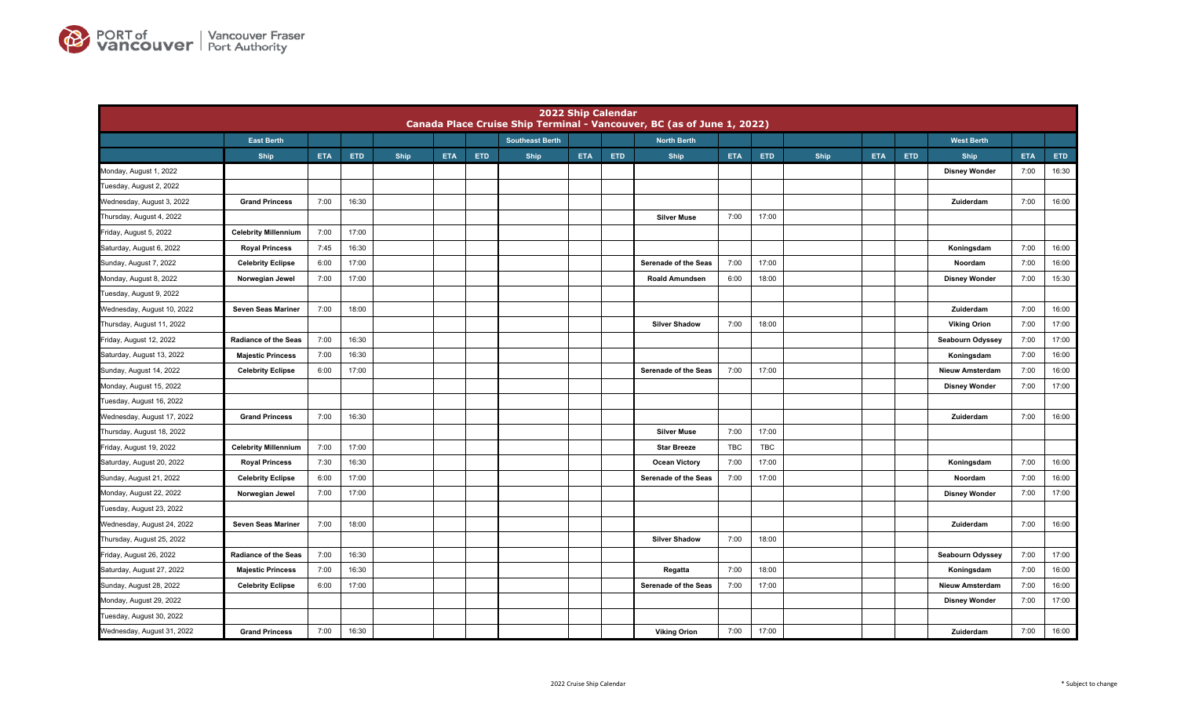

|                            |                             |            |            |      |            |            |                        | <b>2022 Ship Calendar</b> |            | Canada Place Cruise Ship Terminal - Vancouver, BC (as of June 1, 2022) |            |            |      |            |            |                         |            |       |
|----------------------------|-----------------------------|------------|------------|------|------------|------------|------------------------|---------------------------|------------|------------------------------------------------------------------------|------------|------------|------|------------|------------|-------------------------|------------|-------|
|                            | <b>East Berth</b>           |            |            |      |            |            | <b>Southeast Berth</b> |                           |            | <b>North Berth</b>                                                     |            |            |      |            |            | <b>West Berth</b>       |            |       |
|                            | <b>Ship</b>                 | <b>ETA</b> | <b>ETD</b> | Ship | <b>ETA</b> | <b>ETD</b> | Ship                   | <b>ETA</b>                | <b>ETD</b> | <b>Ship</b>                                                            | <b>ETA</b> | <b>ETD</b> | Ship | <b>ETA</b> | <b>ETD</b> | Ship                    | <b>ETA</b> | ETD   |
| Monday, August 1, 2022     |                             |            |            |      |            |            |                        |                           |            |                                                                        |            |            |      |            |            | <b>Disney Wonder</b>    | 7:00       | 16:30 |
| Tuesday, August 2, 2022    |                             |            |            |      |            |            |                        |                           |            |                                                                        |            |            |      |            |            |                         |            |       |
| Wednesday, August 3, 2022  | <b>Grand Princess</b>       | 7:00       | 16:30      |      |            |            |                        |                           |            |                                                                        |            |            |      |            |            | Zuiderdam               | 7:00       | 16:00 |
| Thursday, August 4, 2022   |                             |            |            |      |            |            |                        |                           |            | <b>Silver Muse</b>                                                     | 7:00       | 17:00      |      |            |            |                         |            |       |
| Friday, August 5, 2022     | <b>Celebrity Millennium</b> | 7:00       | 17:00      |      |            |            |                        |                           |            |                                                                        |            |            |      |            |            |                         |            |       |
| Saturday, August 6, 2022   | <b>Royal Princess</b>       | 7:45       | 16:30      |      |            |            |                        |                           |            |                                                                        |            |            |      |            |            | Koningsdam              | 7:00       | 16:00 |
| Sunday, August 7, 2022     | <b>Celebrity Eclipse</b>    | 6:00       | 17:00      |      |            |            |                        |                           |            | Serenade of the Seas                                                   | 7:00       | 17:00      |      |            |            | Noordam                 | 7:00       | 16:00 |
| Monday, August 8, 2022     | Norwegian Jewel             | 7:00       | 17:00      |      |            |            |                        |                           |            | <b>Roald Amundsen</b>                                                  | 6:00       | 18:00      |      |            |            | <b>Disney Wonder</b>    | 7:00       | 15:30 |
| Tuesday, August 9, 2022    |                             |            |            |      |            |            |                        |                           |            |                                                                        |            |            |      |            |            |                         |            |       |
| Wednesday, August 10, 2022 | Seven Seas Mariner          | 7:00       | 18:00      |      |            |            |                        |                           |            |                                                                        |            |            |      |            |            | Zuiderdam               | 7:00       | 16:00 |
| Thursday, August 11, 2022  |                             |            |            |      |            |            |                        |                           |            | <b>Silver Shadow</b>                                                   | 7:00       | 18:00      |      |            |            | <b>Viking Orion</b>     | 7:00       | 17:00 |
| Friday, August 12, 2022    | <b>Radiance of the Seas</b> | 7:00       | 16:30      |      |            |            |                        |                           |            |                                                                        |            |            |      |            |            | <b>Seabourn Odyssey</b> | 7:00       | 17:00 |
| Saturday, August 13, 2022  | <b>Majestic Princess</b>    | 7:00       | 16:30      |      |            |            |                        |                           |            |                                                                        |            |            |      |            |            | Koningsdam              | 7:00       | 16:00 |
| Sunday, August 14, 2022    | <b>Celebrity Eclipse</b>    | 6:00       | 17:00      |      |            |            |                        |                           |            | Serenade of the Seas                                                   | 7:00       | 17:00      |      |            |            | <b>Nieuw Amsterdam</b>  | 7:00       | 16:00 |
| Monday, August 15, 2022    |                             |            |            |      |            |            |                        |                           |            |                                                                        |            |            |      |            |            | <b>Disney Wonder</b>    | 7:00       | 17:00 |
| Tuesday, August 16, 2022   |                             |            |            |      |            |            |                        |                           |            |                                                                        |            |            |      |            |            |                         |            |       |
| Wednesday, August 17, 2022 | <b>Grand Princess</b>       | 7:00       | 16:30      |      |            |            |                        |                           |            |                                                                        |            |            |      |            |            | Zuiderdam               | 7:00       | 16:00 |
| Thursday, August 18, 2022  |                             |            |            |      |            |            |                        |                           |            | <b>Silver Muse</b>                                                     | 7:00       | 17:00      |      |            |            |                         |            |       |
| Friday, August 19, 2022    | <b>Celebrity Millennium</b> | 7:00       | 17:00      |      |            |            |                        |                           |            | <b>Star Breeze</b>                                                     | <b>TBC</b> | TBC        |      |            |            |                         |            |       |
| Saturday, August 20, 2022  | <b>Royal Princess</b>       | 7:30       | 16:30      |      |            |            |                        |                           |            | <b>Ocean Victory</b>                                                   | 7:00       | 17:00      |      |            |            | Koningsdam              | 7:00       | 16:00 |
| Sunday, August 21, 2022    | <b>Celebrity Eclipse</b>    | 6:00       | 17:00      |      |            |            |                        |                           |            | Serenade of the Seas                                                   | 7:00       | 17:00      |      |            |            | Noordam                 | 7:00       | 16:00 |
| Monday, August 22, 2022    | Norwegian Jewel             | 7:00       | 17:00      |      |            |            |                        |                           |            |                                                                        |            |            |      |            |            | <b>Disney Wonder</b>    | 7:00       | 17:00 |
| Tuesday, August 23, 2022   |                             |            |            |      |            |            |                        |                           |            |                                                                        |            |            |      |            |            |                         |            |       |
| Wednesday, August 24, 2022 | Seven Seas Mariner          | 7:00       | 18:00      |      |            |            |                        |                           |            |                                                                        |            |            |      |            |            | Zuiderdam               | 7:00       | 16:00 |
| Thursday, August 25, 2022  |                             |            |            |      |            |            |                        |                           |            | <b>Silver Shadow</b>                                                   | 7:00       | 18:00      |      |            |            |                         |            |       |
| Friday, August 26, 2022    | <b>Radiance of the Seas</b> | 7:00       | 16:30      |      |            |            |                        |                           |            |                                                                        |            |            |      |            |            | Seabourn Odyssey        | 7:00       | 17:00 |
| Saturday, August 27, 2022  | <b>Majestic Princess</b>    | 7:00       | 16:30      |      |            |            |                        |                           |            | Regatta                                                                | 7:00       | 18:00      |      |            |            | Koningsdam              | 7:00       | 16:00 |
| Sunday, August 28, 2022    | <b>Celebrity Eclipse</b>    | 6:00       | 17:00      |      |            |            |                        |                           |            | Serenade of the Seas                                                   | 7:00       | 17:00      |      |            |            | <b>Nieuw Amsterdam</b>  | 7:00       | 16:00 |
| Monday, August 29, 2022    |                             |            |            |      |            |            |                        |                           |            |                                                                        |            |            |      |            |            | <b>Disney Wonder</b>    | 7:00       | 17:00 |
| Tuesday, August 30, 2022   |                             |            |            |      |            |            |                        |                           |            |                                                                        |            |            |      |            |            |                         |            |       |
| Wednesday, August 31, 2022 | <b>Grand Princess</b>       | 7:00       | 16:30      |      |            |            |                        |                           |            | <b>Viking Orion</b>                                                    | 7:00       | 17:00      |      |            |            | Zuiderdam               | 7:00       | 16:00 |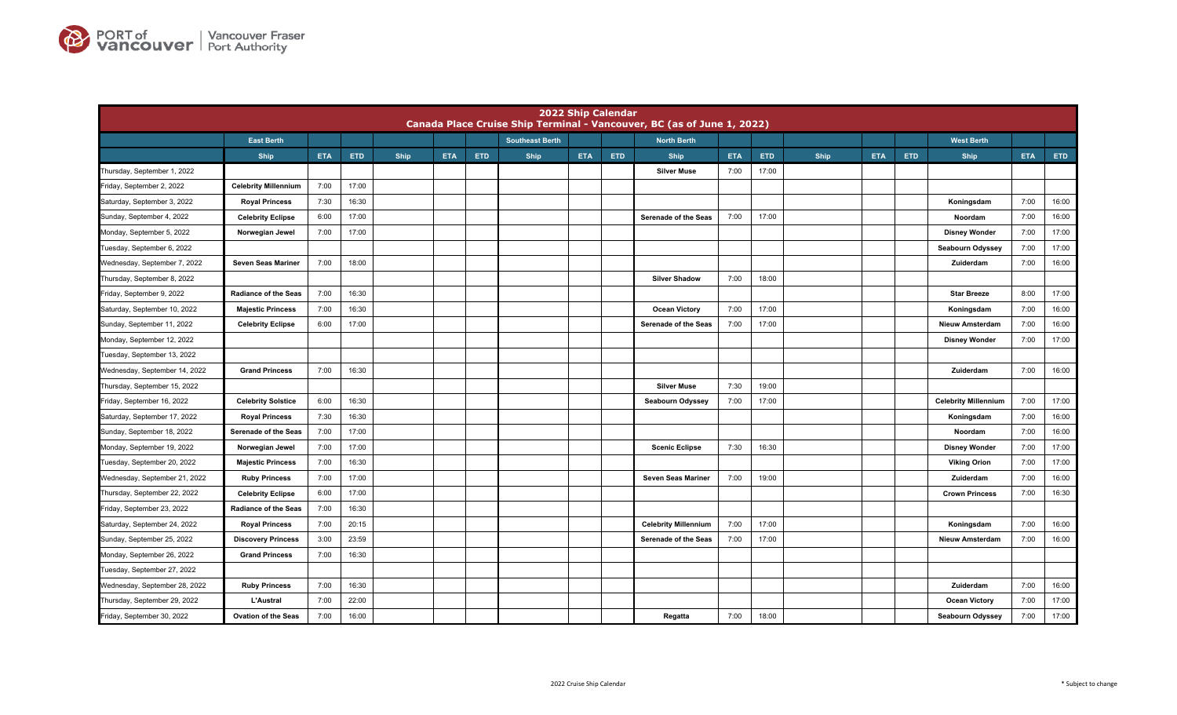

|                               |                             |            |            |      |            |            |                        | 2022 Ship Calendar |            | Canada Place Cruise Ship Terminal - Vancouver, BC (as of June 1, 2022) |            |            |      |            |            |                             |            |       |
|-------------------------------|-----------------------------|------------|------------|------|------------|------------|------------------------|--------------------|------------|------------------------------------------------------------------------|------------|------------|------|------------|------------|-----------------------------|------------|-------|
|                               | <b>East Berth</b>           |            |            |      |            |            | <b>Southeast Berth</b> |                    |            | <b>North Berth</b>                                                     |            |            |      |            |            | <b>West Berth</b>           |            |       |
|                               | <b>Ship</b>                 | <b>ETA</b> | <b>ETD</b> | Ship | <b>ETA</b> | <b>ETD</b> | Ship                   | <b>ETA</b>         | <b>ETD</b> | <b>Ship</b>                                                            | <b>ETA</b> | <b>ETD</b> | Ship | <b>ETA</b> | <b>ETD</b> | <b>Ship</b>                 | <b>ETA</b> | ETD   |
| Thursday, September 1, 2022   |                             |            |            |      |            |            |                        |                    |            | <b>Silver Muse</b>                                                     | 7:00       | 17:00      |      |            |            |                             |            |       |
| Friday, September 2, 2022     | <b>Celebrity Millennium</b> | 7:00       | 17:00      |      |            |            |                        |                    |            |                                                                        |            |            |      |            |            |                             |            |       |
| Saturday, September 3, 2022   | <b>Royal Princess</b>       | 7:30       | 16:30      |      |            |            |                        |                    |            |                                                                        |            |            |      |            |            | Koningsdam                  | 7:00       | 16:00 |
| Sunday, September 4, 2022     | <b>Celebrity Eclipse</b>    | 6:00       | 17:00      |      |            |            |                        |                    |            | Serenade of the Seas                                                   | 7:00       | 17:00      |      |            |            | Noordam                     | 7:00       | 16:00 |
| Monday, September 5, 2022     | Norwegian Jewel             | 7:00       | 17:00      |      |            |            |                        |                    |            |                                                                        |            |            |      |            |            | <b>Disney Wonder</b>        | 7:00       | 17:00 |
| Tuesday, September 6, 2022    |                             |            |            |      |            |            |                        |                    |            |                                                                        |            |            |      |            |            | Seabourn Odyssey            | 7:00       | 17:00 |
| Wednesday, September 7, 2022  | Seven Seas Mariner          | 7:00       | 18:00      |      |            |            |                        |                    |            |                                                                        |            |            |      |            |            | Zuiderdam                   | 7:00       | 16:00 |
| Thursday, September 8, 2022   |                             |            |            |      |            |            |                        |                    |            | <b>Silver Shadow</b>                                                   | 7:00       | 18:00      |      |            |            |                             |            |       |
| Friday, September 9, 2022     | <b>Radiance of the Seas</b> | 7:00       | 16:30      |      |            |            |                        |                    |            |                                                                        |            |            |      |            |            | <b>Star Breeze</b>          | 8:00       | 17:00 |
| Saturday, September 10, 2022  | <b>Majestic Princess</b>    | 7:00       | 16:30      |      |            |            |                        |                    |            | <b>Ocean Victory</b>                                                   | 7:00       | 17:00      |      |            |            | Koningsdam                  | 7:00       | 16:00 |
| Sunday, September 11, 2022    | <b>Celebrity Eclipse</b>    | 6:00       | 17:00      |      |            |            |                        |                    |            | Serenade of the Seas                                                   | 7:00       | 17:00      |      |            |            | <b>Nieuw Amsterdam</b>      | 7:00       | 16:00 |
| Monday, September 12, 2022    |                             |            |            |      |            |            |                        |                    |            |                                                                        |            |            |      |            |            | <b>Disney Wonder</b>        | 7:00       | 17:00 |
| Tuesday, September 13, 2022   |                             |            |            |      |            |            |                        |                    |            |                                                                        |            |            |      |            |            |                             |            |       |
| Wednesday, September 14, 2022 | <b>Grand Princess</b>       | 7:00       | 16:30      |      |            |            |                        |                    |            |                                                                        |            |            |      |            |            | Zuiderdam                   | 7:00       | 16:00 |
| Thursday, September 15, 2022  |                             |            |            |      |            |            |                        |                    |            | <b>Silver Muse</b>                                                     | 7:30       | 19:00      |      |            |            |                             |            |       |
| Friday, September 16, 2022    | <b>Celebrity Solstice</b>   | 6:00       | 16:30      |      |            |            |                        |                    |            | <b>Seabourn Odyssey</b>                                                | 7:00       | 17:00      |      |            |            | <b>Celebrity Millennium</b> | 7:00       | 17:00 |
| Saturday, September 17, 2022  | <b>Royal Princess</b>       | 7:30       | 16:30      |      |            |            |                        |                    |            |                                                                        |            |            |      |            |            | Koningsdam                  | 7:00       | 16:00 |
| Sunday, September 18, 2022    | Serenade of the Seas        | 7:00       | 17:00      |      |            |            |                        |                    |            |                                                                        |            |            |      |            |            | Noordam                     | 7:00       | 16:00 |
| Monday, September 19, 2022    | Norwegian Jewel             | 7:00       | 17:00      |      |            |            |                        |                    |            | <b>Scenic Eclipse</b>                                                  | 7:30       | 16:30      |      |            |            | <b>Disney Wonder</b>        | 7:00       | 17:00 |
| Tuesday, September 20, 2022   | <b>Majestic Princess</b>    | 7:00       | 16:30      |      |            |            |                        |                    |            |                                                                        |            |            |      |            |            | <b>Viking Orion</b>         | 7:00       | 17:00 |
| Wednesday, September 21, 2022 | <b>Ruby Princess</b>        | 7:00       | 17:00      |      |            |            |                        |                    |            | <b>Seven Seas Mariner</b>                                              | 7:00       | 19:00      |      |            |            | Zuiderdam                   | 7:00       | 16:00 |
| Thursday, September 22, 2022  | <b>Celebrity Eclipse</b>    | 6:00       | 17:00      |      |            |            |                        |                    |            |                                                                        |            |            |      |            |            | <b>Crown Princess</b>       | 7:00       | 16:30 |
| Friday, September 23, 2022    | <b>Radiance of the Seas</b> | 7:00       | 16:30      |      |            |            |                        |                    |            |                                                                        |            |            |      |            |            |                             |            |       |
| Saturday, September 24, 2022  | <b>Royal Princess</b>       | 7:00       | 20:15      |      |            |            |                        |                    |            | <b>Celebrity Millennium</b>                                            | 7:00       | 17:00      |      |            |            | Koningsdam                  | 7:00       | 16:00 |
| Sunday, September 25, 2022    | <b>Discovery Princess</b>   | 3:00       | 23:59      |      |            |            |                        |                    |            | <b>Serenade of the Seas</b>                                            | 7:00       | 17:00      |      |            |            | <b>Nieuw Amsterdam</b>      | 7:00       | 16:00 |
| Monday, September 26, 2022    | <b>Grand Princess</b>       | 7:00       | 16:30      |      |            |            |                        |                    |            |                                                                        |            |            |      |            |            |                             |            |       |
| Tuesday, September 27, 2022   |                             |            |            |      |            |            |                        |                    |            |                                                                        |            |            |      |            |            |                             |            |       |
| Wednesday, September 28, 2022 | <b>Ruby Princess</b>        | 7:00       | 16:30      |      |            |            |                        |                    |            |                                                                        |            |            |      |            |            | Zuiderdam                   | 7:00       | 16:00 |
| Thursday, September 29, 2022  | <b>L'Austral</b>            | 7:00       | 22:00      |      |            |            |                        |                    |            |                                                                        |            |            |      |            |            | <b>Ocean Victory</b>        | 7:00       | 17:00 |
| Friday, September 30, 2022    | <b>Ovation of the Seas</b>  | 7:00       | 16:00      |      |            |            |                        |                    |            | Regatta                                                                | 7:00       | 18:00      |      |            |            | Seabourn Odyssey            | 7:00       | 17:00 |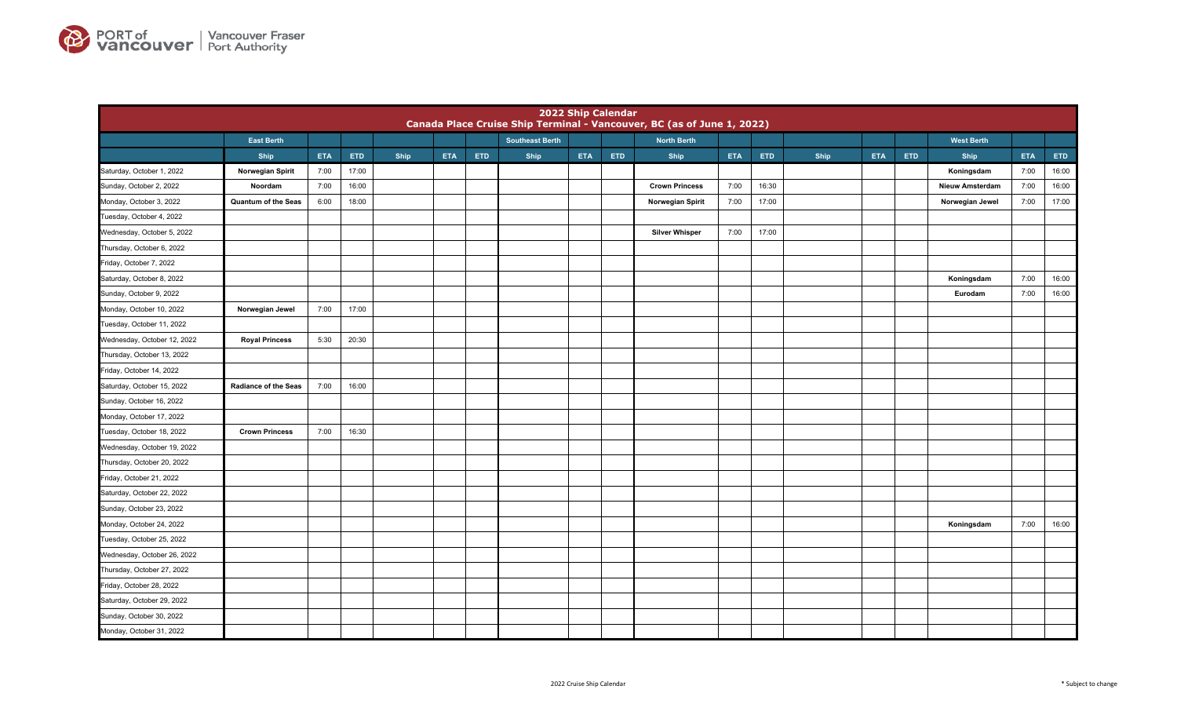

|                             |                             |            |       |      |            |     |                        |            | 2022 Ship Calendar | Canada Place Cruise Ship Terminal - Vancouver, BC (as of June 1, 2022) |            |       |      |            |            |                        |            |            |
|-----------------------------|-----------------------------|------------|-------|------|------------|-----|------------------------|------------|--------------------|------------------------------------------------------------------------|------------|-------|------|------------|------------|------------------------|------------|------------|
|                             | <b>East Berth</b>           |            |       |      |            |     | <b>Southeast Berth</b> |            |                    | <b>North Berth</b>                                                     |            |       |      |            |            | <b>West Berth</b>      |            |            |
|                             | Ship                        | <b>ETA</b> | ETD   | Ship | <b>ETA</b> | ETD | Ship                   | <b>ETA</b> | ETD                | <b>Ship</b>                                                            | <b>ETA</b> | ETD   | Ship | <b>ETA</b> | <b>ETD</b> | Ship                   | <b>ETA</b> | <b>ETD</b> |
| Saturday, October 1, 2022   | Norwegian Spirit            | 7:00       | 17:00 |      |            |     |                        |            |                    |                                                                        |            |       |      |            |            | Koningsdam             | 7:00       | 16:00      |
| Sunday, October 2, 2022     | Noordam                     | 7:00       | 16:00 |      |            |     |                        |            |                    | <b>Crown Princess</b>                                                  | 7:00       | 16:30 |      |            |            | <b>Nieuw Amsterdam</b> | 7:00       | 16:00      |
| Monday, October 3, 2022     | Quantum of the Seas         | 6:00       | 18:00 |      |            |     |                        |            |                    | Norwegian Spirit                                                       | 7:00       | 17:00 |      |            |            | Norwegian Jewel        | 7:00       | 17:00      |
| Tuesday, October 4, 2022    |                             |            |       |      |            |     |                        |            |                    |                                                                        |            |       |      |            |            |                        |            |            |
| Wednesday, October 5, 2022  |                             |            |       |      |            |     |                        |            |                    | <b>Silver Whisper</b>                                                  | 7:00       | 17:00 |      |            |            |                        |            |            |
| Thursday, October 6, 2022   |                             |            |       |      |            |     |                        |            |                    |                                                                        |            |       |      |            |            |                        |            |            |
| Friday, October 7, 2022     |                             |            |       |      |            |     |                        |            |                    |                                                                        |            |       |      |            |            |                        |            |            |
| Saturday, October 8, 2022   |                             |            |       |      |            |     |                        |            |                    |                                                                        |            |       |      |            |            | Koningsdam             | 7:00       | 16:00      |
| Sunday, October 9, 2022     |                             |            |       |      |            |     |                        |            |                    |                                                                        |            |       |      |            |            | Eurodam                | 7:00       | 16:00      |
| Monday, October 10, 2022    | Norwegian Jewel             | 7:00       | 17:00 |      |            |     |                        |            |                    |                                                                        |            |       |      |            |            |                        |            |            |
| Tuesday, October 11, 2022   |                             |            |       |      |            |     |                        |            |                    |                                                                        |            |       |      |            |            |                        |            |            |
| Wednesday, October 12, 2022 | <b>Royal Princess</b>       | 5:30       | 20:30 |      |            |     |                        |            |                    |                                                                        |            |       |      |            |            |                        |            |            |
| Thursday, October 13, 2022  |                             |            |       |      |            |     |                        |            |                    |                                                                        |            |       |      |            |            |                        |            |            |
| Friday, October 14, 2022    |                             |            |       |      |            |     |                        |            |                    |                                                                        |            |       |      |            |            |                        |            |            |
| Saturday, October 15, 2022  | <b>Radiance of the Seas</b> | 7:00       | 16:00 |      |            |     |                        |            |                    |                                                                        |            |       |      |            |            |                        |            |            |
| Sunday, October 16, 2022    |                             |            |       |      |            |     |                        |            |                    |                                                                        |            |       |      |            |            |                        |            |            |
| Monday, October 17, 2022    |                             |            |       |      |            |     |                        |            |                    |                                                                        |            |       |      |            |            |                        |            |            |
| Tuesday, October 18, 2022   | <b>Crown Princess</b>       | 7:00       | 16:30 |      |            |     |                        |            |                    |                                                                        |            |       |      |            |            |                        |            |            |
| Wednesday, October 19, 2022 |                             |            |       |      |            |     |                        |            |                    |                                                                        |            |       |      |            |            |                        |            |            |
| Thursday, October 20, 2022  |                             |            |       |      |            |     |                        |            |                    |                                                                        |            |       |      |            |            |                        |            |            |
| Friday, October 21, 2022    |                             |            |       |      |            |     |                        |            |                    |                                                                        |            |       |      |            |            |                        |            |            |
| Saturday, October 22, 2022  |                             |            |       |      |            |     |                        |            |                    |                                                                        |            |       |      |            |            |                        |            |            |
| Sunday, October 23, 2022    |                             |            |       |      |            |     |                        |            |                    |                                                                        |            |       |      |            |            |                        |            |            |
| Monday, October 24, 2022    |                             |            |       |      |            |     |                        |            |                    |                                                                        |            |       |      |            |            | Koningsdam             | 7:00       | 16:00      |
| Tuesday, October 25, 2022   |                             |            |       |      |            |     |                        |            |                    |                                                                        |            |       |      |            |            |                        |            |            |
| Wednesday, October 26, 2022 |                             |            |       |      |            |     |                        |            |                    |                                                                        |            |       |      |            |            |                        |            |            |
| Thursday, October 27, 2022  |                             |            |       |      |            |     |                        |            |                    |                                                                        |            |       |      |            |            |                        |            |            |
| Friday, October 28, 2022    |                             |            |       |      |            |     |                        |            |                    |                                                                        |            |       |      |            |            |                        |            |            |
| Saturday, October 29, 2022  |                             |            |       |      |            |     |                        |            |                    |                                                                        |            |       |      |            |            |                        |            |            |
| Sunday, October 30, 2022    |                             |            |       |      |            |     |                        |            |                    |                                                                        |            |       |      |            |            |                        |            |            |
| Monday, October 31, 2022    |                             |            |       |      |            |     |                        |            |                    |                                                                        |            |       |      |            |            |                        |            |            |